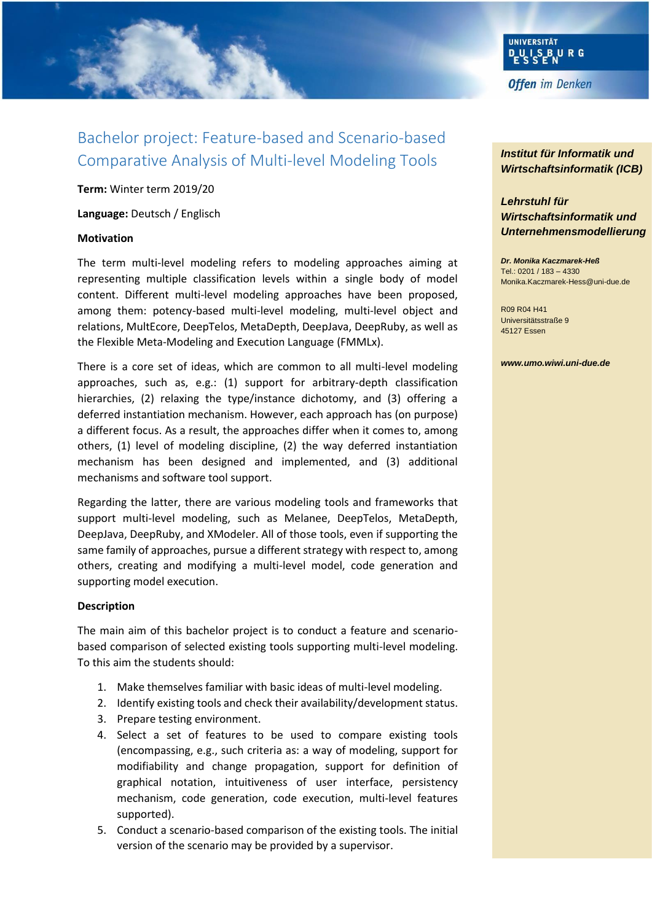

# Bachelor project: Feature-based and Scenario-based Comparative Analysis of Multi-level Modeling Tools

**Term:** Winter term 2019/20

**Language:** Deutsch / Englisch

## **Motivation**

The term multi-level modeling refers to modeling approaches aiming at representing multiple classification levels within a single body of model content. Different multi-level modeling approaches have been proposed, among them: potency-based multi-level modeling, multi-level object and relations, MultEcore, DeepTelos, MetaDepth, DeepJava, DeepRuby, as well as the Flexible Meta-Modeling and Execution Language (FMMLx).

There is a core set of ideas, which are common to all multi-level modeling approaches, such as, e.g.: (1) support for arbitrary-depth classification hierarchies, (2) relaxing the type/instance dichotomy, and (3) offering a deferred instantiation mechanism. However, each approach has (on purpose) a different focus. As a result, the approaches differ when it comes to, among others, (1) level of modeling discipline, (2) the way deferred instantiation mechanism has been designed and implemented, and (3) additional mechanisms and software tool support.

Regarding the latter, there are various modeling tools and frameworks that support multi-level modeling, such as Melanee, DeepTelos, MetaDepth, DeepJava, DeepRuby, and XModeler. All of those tools, even if supporting the same family of approaches, pursue a different strategy with respect to, among others, creating and modifying a multi-level model, code generation and supporting model execution.

## **Description**

The main aim of this bachelor project is to conduct a feature and scenariobased comparison of selected existing tools supporting multi-level modeling. To this aim the students should:

- 1. Make themselves familiar with basic ideas of multi-level modeling.
- 2. Identify existing tools and check their availability/development status.
- 3. Prepare testing environment.
- 4. Select a set of features to be used to compare existing tools (encompassing, e.g., such criteria as: a way of modeling, support for modifiability and change propagation, support for definition of graphical notation, intuitiveness of user interface, persistency mechanism, code generation, code execution, multi-level features supported).
- 5. Conduct a scenario-based comparison of the existing tools. The initial version of the scenario may be provided by a supervisor.

*Institut für Informatik und Wirtschaftsinformatik (ICB)* 

# *Lehrstuhl für Wirtschaftsinformatik und Unternehmensmodellierung*

*Dr. Monika Kaczmarek-Heß* Tel.: 0201 / 183 – 4330 Monika.Kaczmarek-Hess@uni-due.de

R09 R04 H41 Universitätsstraße 9 45127 Essen

#### *www.umo.wiwi.uni-due.de*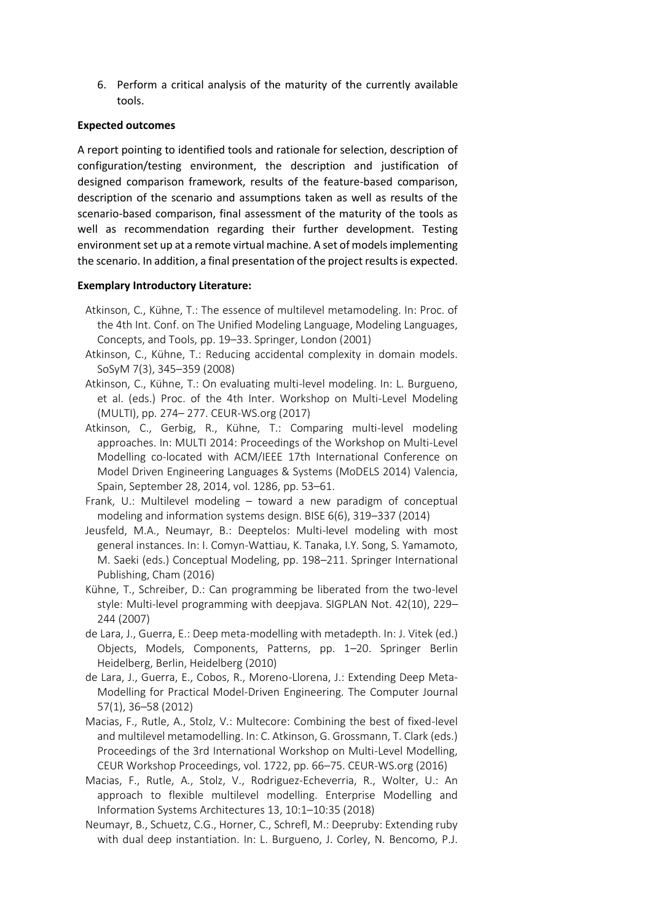6. Perform a critical analysis of the maturity of the currently available tools.

## **Expected outcomes**

A report pointing to identified tools and rationale for selection, description of configuration/testing environment, the description and justification of designed comparison framework, results of the feature-based comparison, description of the scenario and assumptions taken as well as results of the scenario-based comparison, final assessment of the maturity of the tools as well as recommendation regarding their further development. Testing environment set up at a remote virtual machine. A set of models implementing the scenario. In addition, a final presentation of the project results is expected.

## **Exemplary Introductory Literature:**

- Atkinson, C., Kühne, T.: The essence of multilevel metamodeling. In: Proc. of the 4th Int. Conf. on The Unified Modeling Language, Modeling Languages, Concepts, and Tools, pp. 19–33. Springer, London (2001)
- Atkinson, C., Kühne, T.: Reducing accidental complexity in domain models. SoSyM 7(3), 345–359 (2008)
- Atkinson, C., Kühne, T.: On evaluating multi-level modeling. In: L. Burgueno, et al. (eds.) Proc. of the 4th Inter. Workshop on Multi-Level Modeling (MULTI), pp. 274– 277. CEUR-WS.org (2017)
- Atkinson, C., Gerbig, R., Kühne, T.: Comparing multi-level modeling approaches. In: MULTI 2014: Proceedings of the Workshop on Multi-Level Modelling co-located with ACM/IEEE 17th International Conference on Model Driven Engineering Languages & Systems (MoDELS 2014) Valencia, Spain, September 28, 2014, vol. 1286, pp. 53–61.
- Frank, U.: Multilevel modeling toward a new paradigm of conceptual modeling and information systems design. BISE 6(6), 319–337 (2014)
- Jeusfeld, M.A., Neumayr, B.: Deeptelos: Multi-level modeling with most general instances. In: I. Comyn-Wattiau, K. Tanaka, I.Y. Song, S. Yamamoto, M. Saeki (eds.) Conceptual Modeling, pp. 198–211. Springer International Publishing, Cham (2016)
- Kühne, T., Schreiber, D.: Can programming be liberated from the two-level style: Multi-level programming with deepjava. SIGPLAN Not. 42(10), 229– 244 (2007)
- de Lara, J., Guerra, E.: Deep meta-modelling with metadepth. In: J. Vitek (ed.) Objects, Models, Components, Patterns, pp. 1–20. Springer Berlin Heidelberg, Berlin, Heidelberg (2010)
- de Lara, J., Guerra, E., Cobos, R., Moreno-Llorena, J.: Extending Deep Meta-Modelling for Practical Model-Driven Engineering. The Computer Journal 57(1), 36–58 (2012)
- Macias, F., Rutle, A., Stolz, V.: Multecore: Combining the best of fixed-level and multilevel metamodelling. In: C. Atkinson, G. Grossmann, T. Clark (eds.) Proceedings of the 3rd International Workshop on Multi-Level Modelling, CEUR Workshop Proceedings, vol. 1722, pp. 66–75. CEUR-WS.org (2016)
- Macias, F., Rutle, A., Stolz, V., Rodriguez-Echeverria, R., Wolter, U.: An approach to flexible multilevel modelling. Enterprise Modelling and Information Systems Architectures 13, 10:1–10:35 (2018)
- Neumayr, B., Schuetz, C.G., Horner, C., Schrefl, M.: Deepruby: Extending ruby with dual deep instantiation. In: L. Burgueno, J. Corley, N. Bencomo, P.J.